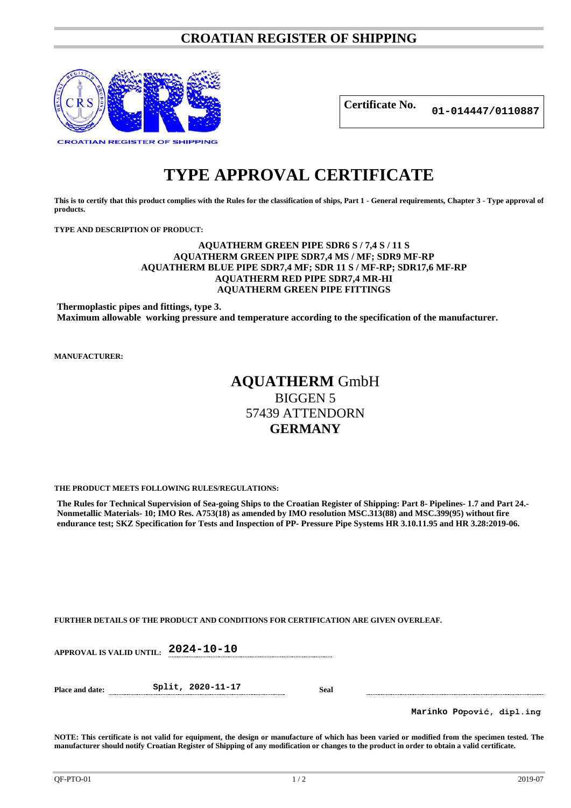### **CROATIAN REGISTER OF SHIPPING**



**Certificate No. 01-014447/0110887**

# **TYPE APPROVAL CERTIFICATE**

**This is to certify that this product complies with the Rules for the classification of ships, Part 1 - General requirements, Chapter 3 - Type approval of products.**

**TYPE AND DESCRIPTION OF PRODUCT:** 

#### **AQUATHERM GREEN PIPE SDR6 S / 7,4 S / 11 S AQUATHERM GREEN PIPE SDR7,4 MS / MF; SDR9 MF-RP AQUATHERM BLUE PIPE SDR7,4 MF; SDR 11 S / MF-RP; SDR17,6 MF-RP AQUATHERM RED PIPE SDR7,4 MR-HI AQUATHERM GREEN PIPE FITTINGS**

**Thermoplastic pipes and fittings, type 3. Maximum allowable working pressure and temperature according to the specification of the manufacturer.**

**MANUFACTURER:**

## **AQUATHERM** GmbH BIGGEN 5 57439 ATTENDORN **GERMANY**

**THE PRODUCT MEETS FOLLOWING RULES/REGULATIONS:**

**The Rules for Technical Supervision of Sea-going Ships to the Croatian Register of Shipping: Part 8- Pipelines- 1.7 and Part 24.- Nonmetallic Materials- 10; IMO Res. A753(18) as amended by IMO resolution MSC.313(88) and MSC.399(95) without fire endurance test; SKZ Specification for Tests and Inspection of PP- Pressure Pipe Systems HR 3.10.11.95 and HR 3.28:2019-06.**

**FURTHER DETAILS OF THE PRODUCT AND CONDITIONS FOR CERTIFICATION ARE GIVEN OVERLEAF.**

**APPROVAL IS VALID UNTIL: 2024-10-10**

**Place and date: Split, 2020-11-17 Seal**

**Marinko Popović, dipl.ing**

**NOTE: This certificate is not valid for equipment, the design or manufacture of which has been varied or modified from the specimen tested. The manufacturer should notify Croatian Register of Shipping of any modification or changes to the product in order to obtain a valid certificate.**